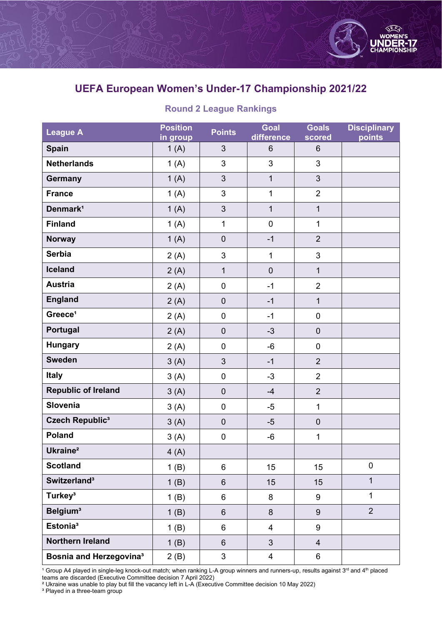

## **UEFA European Women's Under-17 Championship 2021/22**

## **Round 2 League Rankings**

| <b>League A</b>                | <b>Position</b><br>in group | <b>Points</b>    | Goal<br>difference      | <b>Goals</b><br>scored | <b>Disciplinary</b><br>points |
|--------------------------------|-----------------------------|------------------|-------------------------|------------------------|-------------------------------|
| Spain                          | 1(A)                        | 3                | 6                       | $6\phantom{1}$         |                               |
| <b>Netherlands</b>             | 1(A)                        | 3                | 3                       | 3                      |                               |
| <b>Germany</b>                 | 1(A)                        | 3                | $\mathbf{1}$            | $\mathfrak{S}$         |                               |
| <b>France</b>                  | 1(A)                        | 3                | $\mathbf{1}$            | $\overline{2}$         |                               |
| Denmark <sup>1</sup>           | 1(A)                        | 3                | $\mathbf{1}$            | $\overline{1}$         |                               |
| <b>Finland</b>                 | 1(A)                        | $\mathbf{1}$     | $\pmb{0}$               | $\mathbf{1}$           |                               |
| <b>Norway</b>                  | 1(A)                        | $\pmb{0}$        | $-1$                    | $\overline{2}$         |                               |
| <b>Serbia</b>                  | 2(A)                        | 3                | $\mathbf{1}$            | 3                      |                               |
| <b>Iceland</b>                 | 2(A)                        | $\mathbf{1}$     | $\overline{0}$          | $\mathbf{1}$           |                               |
| <b>Austria</b>                 | 2(A)                        | $\pmb{0}$        | $-1$                    | $\overline{2}$         |                               |
| <b>England</b>                 | 2(A)                        | $\boldsymbol{0}$ | $-1$                    | $\mathbf{1}$           |                               |
| Greece <sup>1</sup>            | 2(A)                        | $\pmb{0}$        | $-1$                    | $\pmb{0}$              |                               |
| Portugal                       | 2(A)                        | $\pmb{0}$        | $-3$                    | $\pmb{0}$              |                               |
| <b>Hungary</b>                 | 2(A)                        | $\pmb{0}$        | $-6$                    | $\mathbf 0$            |                               |
| <b>Sweden</b>                  | 3(A)                        | 3                | $-1$                    | $\overline{2}$         |                               |
| <b>Italy</b>                   | 3(A)                        | $\pmb{0}$        | $-3$                    | $\overline{2}$         |                               |
| <b>Republic of Ireland</b>     | 3(A)                        | $\pmb{0}$        | $-4$                    | $\overline{2}$         |                               |
| Slovenia                       | 3(A)                        | $\pmb{0}$        | $-5$                    | $\mathbf{1}$           |                               |
| Czech Republic <sup>3</sup>    | 3(A)                        | $\boldsymbol{0}$ | $-5$                    | $\pmb{0}$              |                               |
| Poland                         | 3(A)                        | $\pmb{0}$        | $-6$                    | 1                      |                               |
| Ukraine <sup>2</sup>           | 4(A)                        |                  |                         |                        |                               |
| <b>Scotland</b>                | 1(B)                        | 6                | 15                      | 15                     | $\mathbf 0$                   |
| Switzerland <sup>3</sup>       | 1(B)                        | $6\phantom{1}$   | 15                      | 15                     | $\mathbf{1}$                  |
| Turkey <sup>3</sup>            | 1(B)                        | 6                | 8                       | $\boldsymbol{9}$       | $\mathbf{1}$                  |
| Belgium <sup>3</sup>           | 1(B)                        | $\,6\,$          | 8                       | $\boldsymbol{9}$       | $\overline{2}$                |
| Estonia <sup>3</sup>           | 1(B)                        | 6                | $\overline{\mathbf{4}}$ | 9                      |                               |
| Northern Ireland               | 1(B)                        | $6\phantom{1}$   | 3                       | $\overline{4}$         |                               |
| <b>Bosnia and Herzegovina3</b> | 2(B)                        | 3                | $\overline{\mathbf{4}}$ | 6                      |                               |

<sup>1</sup> Group A4 played in single-leg knock-out match; when ranking L-A group winners and runners-up, results against 3<sup>rd</sup> and 4<sup>th</sup> placed teams are discarded (Executive Committee decision 7 April 2022)

² Ukraine was unable to play but fill the vacancy left in L-A (Executive Committee decision 10 May 2022)

 $\,^3$  Played in a three-team group